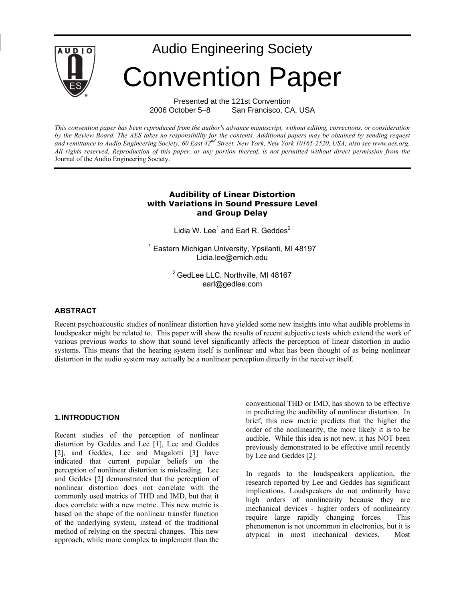

Presented at the 121st Convention 2006 October 5–8 San Francisco, CA, USA

*This convention paper has been reproduced from the author's advance manuscript, without editing, corrections, or consideration by the Review Board. The AES takes no responsibility for the contents. Additional papers may be obtained by sending request*  and remittance to Audio Engineering Society, 60 East 42<sup>nd</sup> Street, New York, New York 10165-2520, USA; also see www.aes.org. *All rights reserved. Reproduction of this paper, or any portion thereof, is not permitted without direct permission from the* Journal of the Audio Engineering Society.

### **Audibility of Linear Distortion with Variations in Sound Pressure Level and Group Delay**

Lidia W. Lee $^1$  and Earl R. Geddes $^2$ 

<sup>1</sup> Eastern Michigan University, Ypsilanti, MI 48197 Lidia.lee@emich.edu

> <sup>2</sup> GedLee LLC, Northville, MI 48167 earl@gedlee.com

### **ABSTRACT**

Recent psychoacoustic studies of nonlinear distortion have yielded some new insights into what audible problems in loudspeaker might be related to. This paper will show the results of recent subjective tests which extend the work of various previous works to show that sound level significantly affects the perception of linear distortion in audio systems. This means that the hearing system itself is nonlinear and what has been thought of as being nonlinear distortion in the audio system may actually be a nonlinear perception directly in the receiver itself.

#### **1.INTRODUCTION**

Recent studies of the perception of nonlinear distortion by Geddes and Lee [1], Lee and Geddes [2], and Geddes, Lee and Magalotti [3] have indicated that current popular beliefs on the perception of nonlinear distortion is misleading. Lee and Geddes [2] demonstrated that the perception of nonlinear distortion does not correlate with the commonly used metrics of THD and IMD, but that it does correlate with a new metric. This new metric is based on the shape of the nonlinear transfer function of the underlying system, instead of the traditional method of relying on the spectral changes. This new approach, while more complex to implement than the

conventional THD or IMD, has shown to be effective in predicting the audibility of nonlinear distortion. In brief, this new metric predicts that the higher the order of the nonlinearity, the more likely it is to be audible. While this idea is not new, it has NOT been previously demonstrated to be effective until recently by Lee and Geddes [2].

In regards to the loudspeakers application, the research reported by Lee and Geddes has significant implications. Loudspeakers do not ordinarily have high orders of nonlinearity because they are mechanical devices - higher orders of nonlinearity require large rapidly changing forces. This phenomenon is not uncommon in electronics, but it is atypical in most mechanical devices. Most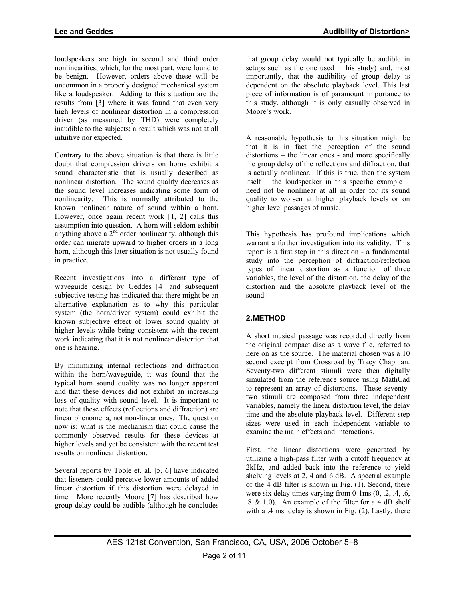**Lee and Geddes Audibility of Distortion>** 

loudspeakers are high in second and third order nonlinearities, which, for the most part, were found to be benign. However, orders above these will be uncommon in a properly designed mechanical system like a loudspeaker. Adding to this situation are the results from [3] where it was found that even very high levels of nonlinear distortion in a compression driver (as measured by THD) were completely inaudible to the subjects; a result which was not at all intuitive nor expected.

Contrary to the above situation is that there is little doubt that compression drivers on horns exhibit a sound characteristic that is usually described as nonlinear distortion. The sound quality decreases as the sound level increases indicating some form of nonlinearity. This is normally attributed to the known nonlinear nature of sound within a horn. However, once again recent work [1, 2] calls this assumption into question. A horn will seldom exhibit anything above  $a^2$ <sup>nd</sup> order nonlinearity, although this order can migrate upward to higher orders in a long horn, although this later situation is not usually found in practice.

Recent investigations into a different type of waveguide design by Geddes [4] and subsequent subjective testing has indicated that there might be an alternative explanation as to why this particular system (the horn/driver system) could exhibit the known subjective effect of lower sound quality at higher levels while being consistent with the recent work indicating that it is not nonlinear distortion that one is hearing.

By minimizing internal reflections and diffraction within the horn/waveguide, it was found that the typical horn sound quality was no longer apparent and that these devices did not exhibit an increasing loss of quality with sound level. It is important to note that these effects (reflections and diffraction) are linear phenomena, not non-linear ones. The question now is: what is the mechanism that could cause the commonly observed results for these devices at higher levels and yet be consistent with the recent test results on nonlinear distortion.

Several reports by Toole et. al. [5, 6] have indicated that listeners could perceive lower amounts of added linear distortion if this distortion were delayed in time. More recently Moore [7] has described how group delay could be audible (although he concludes

that group delay would not typically be audible in setups such as the one used in his study) and, most importantly, that the audibility of group delay is dependent on the absolute playback level. This last piece of information is of paramount importance to this study, although it is only casually observed in Moore's work.

A reasonable hypothesis to this situation might be that it is in fact the perception of the sound distortions – the linear ones - and more specifically the group delay of the reflections and diffraction, that is actually nonlinear. If this is true, then the system itself – the loudspeaker in this specific example – need not be nonlinear at all in order for its sound quality to worsen at higher playback levels or on higher level passages of music.

This hypothesis has profound implications which warrant a further investigation into its validity. This report is a first step in this direction - a fundamental study into the perception of diffraction/reflection types of linear distortion as a function of three variables, the level of the distortion, the delay of the distortion and the absolute playback level of the sound.

# **2.METHOD**

A short musical passage was recorded directly from the original compact disc as a wave file, referred to here on as the source. The material chosen was a 10 second excerpt from Crossroad by Tracy Chapman. Seventy-two different stimuli were then digitally simulated from the reference source using MathCad to represent an array of distortions. These seventytwo stimuli are composed from three independent variables, namely the linear distortion level, the delay time and the absolute playback level. Different step sizes were used in each independent variable to examine the main effects and interactions.

First, the linear distortions were generated by utilizing a high-pass filter with a cutoff frequency at 2kHz, and added back into the reference to yield shelving levels at 2, 4 and 6 dB. A spectral example of the 4 dB filter is shown in Fig. (1). Second, there were six delay times varying from  $0$ -1ms  $(0, 0.2, 0.4, 0.6, 0.5)$  $.8 \& 1.0$ ). An example of the filter for a 4 dB shelf with a .4 ms. delay is shown in Fig. (2). Lastly, there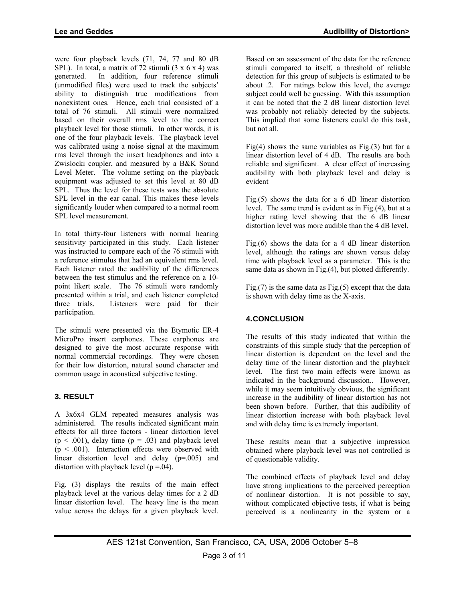were four playback levels (71, 74, 77 and 80 dB SPL). In total, a matrix of 72 stimuli  $(3 \times 6 \times 4)$  was generated. In addition, four reference stimuli (unmodified files) were used to track the subjects' ability to distinguish true modifications from nonexistent ones. Hence, each trial consisted of a total of 76 stimuli. All stimuli were normalized based on their overall rms level to the correct playback level for those stimuli. In other words, it is one of the four playback levels. The playback level was calibrated using a noise signal at the maximum rms level through the insert headphones and into a Zwislocki coupler, and measured by a B&K Sound Level Meter. The volume setting on the playback equipment was adjusted to set this level at 80 dB SPL. Thus the level for these tests was the absolute SPL level in the ear canal. This makes these levels significantly louder when compared to a normal room SPL level measurement.

In total thirty-four listeners with normal hearing sensitivity participated in this study. Each listener was instructed to compare each of the 76 stimuli with a reference stimulus that had an equivalent rms level. Each listener rated the audibility of the differences between the test stimulus and the reference on a 10 point likert scale. The 76 stimuli were randomly presented within a trial, and each listener completed three trials. Listeners were paid for their participation.

The stimuli were presented via the Etymotic ER-4 MicroPro insert earphones. These earphones are designed to give the most accurate response with normal commercial recordings. They were chosen for their low distortion, natural sound character and common usage in acoustical subjective testing.

## **3. RESULT**

A 3x6x4 GLM repeated measures analysis was administered. The results indicated significant main effects for all three factors - linear distortion level  $(p \le 0.001)$ , delay time  $(p = 0.03)$  and playback level  $(p < .001)$ . Interaction effects were observed with linear distortion level and delay (p=.005) and distortion with playback level ( $p = .04$ ).

Fig. (3) displays the results of the main effect playback level at the various delay times for a 2 dB linear distortion level. The heavy line is the mean value across the delays for a given playback level.

Based on an assessment of the data for the reference stimuli compared to itself, a threshold of reliable detection for this group of subjects is estimated to be about .2. For ratings below this level, the average subject could well be guessing. With this assumption it can be noted that the 2 dB linear distortion level was probably not reliably detected by the subjects. This implied that some listeners could do this task, but not all.

Fig(4) shows the same variables as Fig.(3) but for a linear distortion level of 4 dB. The results are both reliable and significant. A clear effect of increasing audibility with both playback level and delay is evident

Fig. $(5)$  shows the data for a 6 dB linear distortion level. The same trend is evident as in Fig.(4), but at a higher rating level showing that the 6 dB linear distortion level was more audible than the 4 dB level.

Fig. $(6)$  shows the data for a 4 dB linear distortion level, although the ratings are shown versus delay time with playback level as a parameter. This is the same data as shown in Fig.(4), but plotted differently.

Fig. $(7)$  is the same data as Fig. $(5)$  except that the data is shown with delay time as the X-axis.

# **4.CONCLUSION**

The results of this study indicated that within the constraints of this simple study that the perception of linear distortion is dependent on the level and the delay time of the linear distortion and the playback level. The first two main effects were known as indicated in the background discussion.. However, while it may seem intuitively obvious, the significant increase in the audibility of linear distortion has not been shown before. Further, that this audibility of linear distortion increase with both playback level and with delay time is extremely important.

These results mean that a subjective impression obtained where playback level was not controlled is of questionable validity.

The combined effects of playback level and delay have strong implications to the perceived perception of nonlinear distortion. It is not possible to say, without complicated objective tests, if what is being perceived is a nonlinearity in the system or a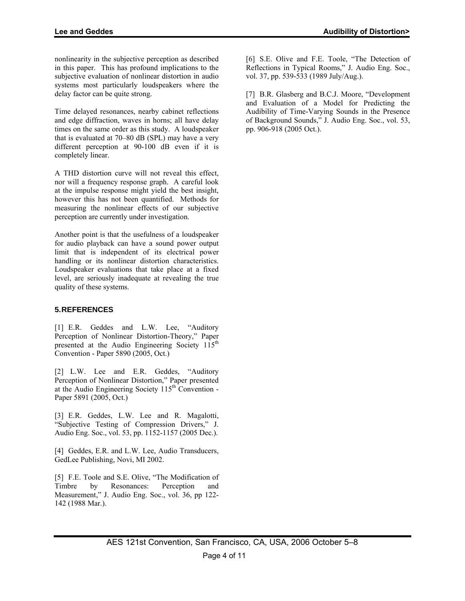nonlinearity in the subjective perception as described in this paper. This has profound implications to the subjective evaluation of nonlinear distortion in audio systems most particularly loudspeakers where the delay factor can be quite strong.

Time delayed resonances, nearby cabinet reflections and edge diffraction, waves in horns; all have delay times on the same order as this study. A loudspeaker that is evaluated at 70–80 dB (SPL) may have a very different perception at 90-100 dB even if it is completely linear.

A THD distortion curve will not reveal this effect, nor will a frequency response graph. A careful look at the impulse response might yield the best insight, however this has not been quantified. Methods for measuring the nonlinear effects of our subjective perception are currently under investigation.

Another point is that the usefulness of a loudspeaker for audio playback can have a sound power output limit that is independent of its electrical power handling or its nonlinear distortion characteristics. Loudspeaker evaluations that take place at a fixed level, are seriously inadequate at revealing the true quality of these systems.

## **5.REFERENCES**

[1] E.R. Geddes and L.W. Lee, "Auditory Perception of Nonlinear Distortion-Theory," Paper presented at the Audio Engineering Society 115<sup>th</sup> Convention - Paper 5890 (2005, Oct.)

[2] L.W. Lee and E.R. Geddes, "Auditory Perception of Nonlinear Distortion," Paper presented at the Audio Engineering Society  $115<sup>th</sup>$  Convention -Paper 5891 (2005, Oct.)

[3] E.R. Geddes, L.W. Lee and R. Magalotti, "Subjective Testing of Compression Drivers," J. Audio Eng. Soc., vol. 53, pp. 1152-1157 (2005 Dec.).

[4] Geddes, E.R. and L.W. Lee, Audio Transducers, GedLee Publishing, Novi, MI 2002.

[5] F.E. Toole and S.E. Olive, "The Modification of Timbre by Resonances: Perception and Measurement," J. Audio Eng. Soc., vol. 36, pp 122- 142 (1988 Mar.).

[6] S.E. Olive and F.E. Toole, "The Detection of Reflections in Typical Rooms," J. Audio Eng. Soc., vol. 37, pp. 539-533 (1989 July/Aug.).

[7] B.R. Glasberg and B.C.J. Moore, "Development" and Evaluation of a Model for Predicting the Audibility of Time-Varying Sounds in the Presence of Background Sounds," J. Audio Eng. Soc., vol. 53, pp. 906-918 (2005 Oct.).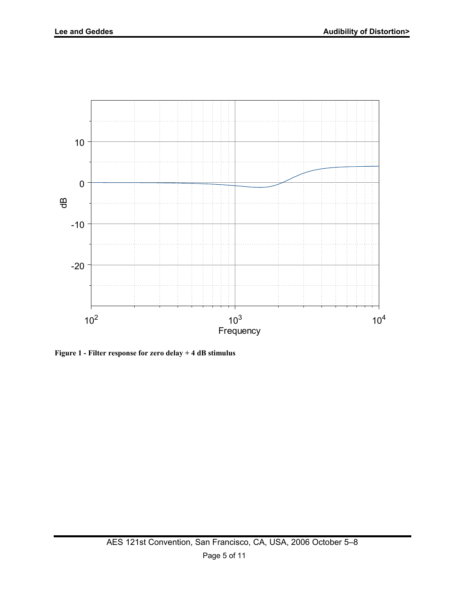

**Figure 1 - Filter response for zero delay + 4 dB stimulus**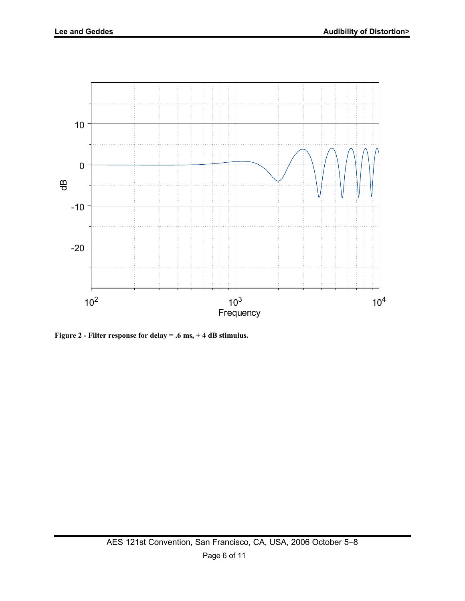

**Figure 2 - Filter response for delay = .6 ms, + 4 dB stimulus.**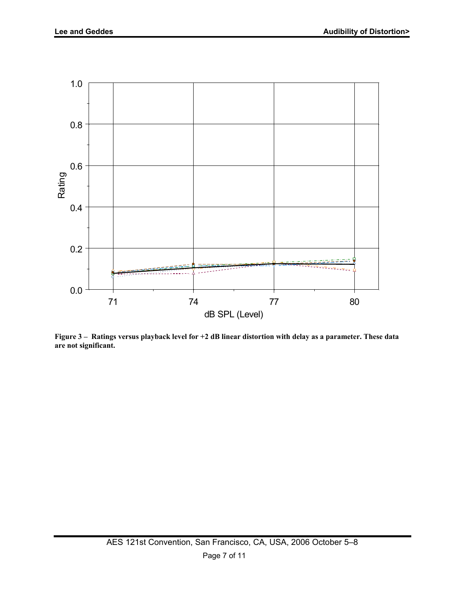

**Figure 3 – Ratings versus playback level for +2 dB linear distortion with delay as a parameter. These data are not significant.**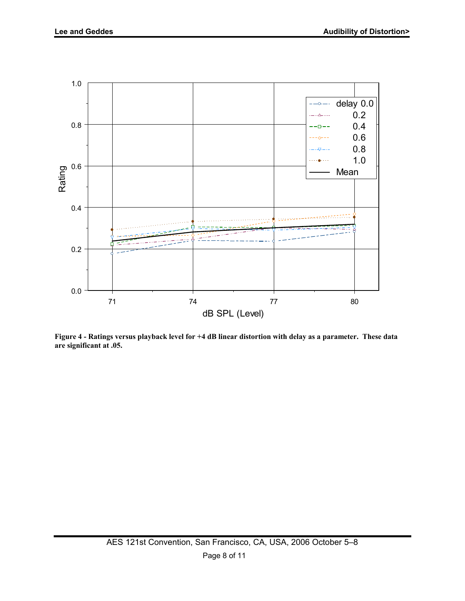

**Figure 4 - Ratings versus playback level for +4 dB linear distortion with delay as a parameter. These data are significant at .05.**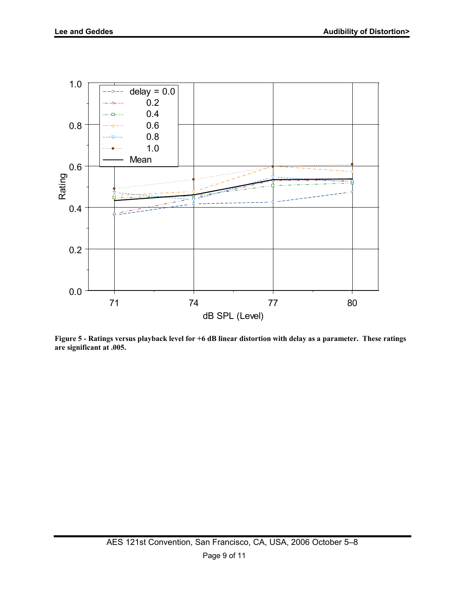

**Figure 5 - Ratings versus playback level for +6 dB linear distortion with delay as a parameter. These ratings are significant at .005.**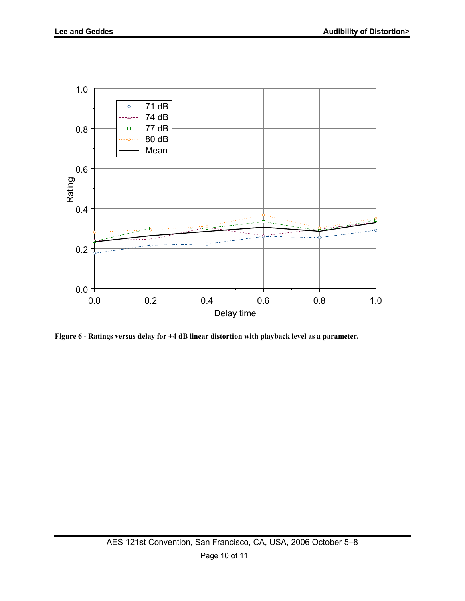

**Figure 6 - Ratings versus delay for +4 dB linear distortion with playback level as a parameter.**